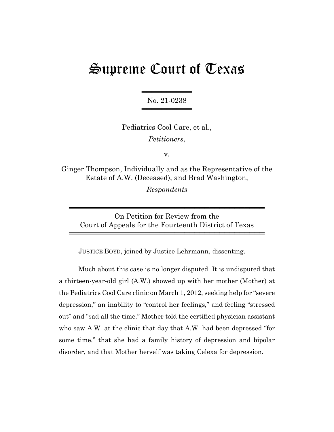## Supreme Court of Texas

══════════ No. 21-0238 ════════════════

Pediatrics Cool Care, et al., *Petitioners*,

v.

Ginger Thompson, Individually and as the Representative of the Estate of A.W. (Deceased), and Brad Washington,

*Respondents*

On Petition for Review from the Court of Appeals for the Fourteenth District of Texas

═══════════════════════════════════════

═══════════════════════════════════════

JUSTICE BOYD, joined by Justice Lehrmann, dissenting.

Much about this case is no longer disputed. It is undisputed that a thirteen-year-old girl (A.W.) showed up with her mother (Mother) at the Pediatrics Cool Care clinic on March 1, 2012, seeking help for "severe depression," an inability to "control her feelings," and feeling "stressed out" and "sad all the time." Mother told the certified physician assistant who saw A.W. at the clinic that day that A.W. had been depressed "for some time," that she had a family history of depression and bipolar disorder, and that Mother herself was taking Celexa for depression.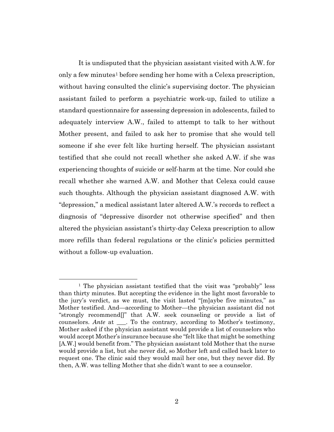It is undisputed that the physician assistant visited with A.W. for only a few minutes<sup>1</sup> before sending her home with a Celexa prescription, without having consulted the clinic's supervising doctor. The physician assistant failed to perform a psychiatric work-up, failed to utilize a standard questionnaire for assessing depression in adolescents, failed to adequately interview A.W., failed to attempt to talk to her without Mother present, and failed to ask her to promise that she would tell someone if she ever felt like hurting herself. The physician assistant testified that she could not recall whether she asked A.W. if she was experiencing thoughts of suicide or self-harm at the time. Nor could she recall whether she warned A.W. and Mother that Celexa could cause such thoughts. Although the physician assistant diagnosed A.W. with "depression," a medical assistant later altered A.W.'s records to reflect a diagnosis of "depressive disorder not otherwise specified" and then altered the physician assistant's thirty-day Celexa prescription to allow more refills than federal regulations or the clinic's policies permitted without a follow-up evaluation.

<sup>&</sup>lt;sup>1</sup> The physician assistant testified that the visit was "probably" less than thirty minutes. But accepting the evidence in the light most favorable to the jury's verdict, as we must, the visit lasted "[m]aybe five minutes," as Mother testified. And—according to Mother—the physician assistant did not "strongly recommend[]" that A.W. seek counseling or provide a list of counselors. *Ante* at \_\_\_. To the contrary, according to Mother's testimony, Mother asked if the physician assistant would provide a list of counselors who would accept Mother's insurance because she "felt like that might be something [A.W.] would benefit from." The physician assistant told Mother that the nurse would provide a list, but she never did, so Mother left and called back later to request one. The clinic said they would mail her one, but they never did. By then, A.W. was telling Mother that she didn't want to see a counselor.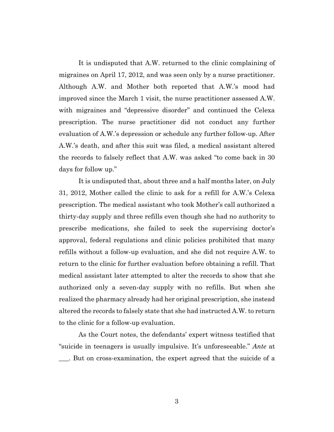It is undisputed that A.W. returned to the clinic complaining of migraines on April 17, 2012, and was seen only by a nurse practitioner. Although A.W. and Mother both reported that A.W.'s mood had improved since the March 1 visit, the nurse practitioner assessed A.W. with migraines and "depressive disorder" and continued the Celexa prescription. The nurse practitioner did not conduct any further evaluation of A.W.'s depression or schedule any further follow-up. After A.W.'s death, and after this suit was filed, a medical assistant altered the records to falsely reflect that A.W. was asked "to come back in 30 days for follow up."

It is undisputed that, about three and a half months later, on July 31, 2012, Mother called the clinic to ask for a refill for A.W.'s Celexa prescription. The medical assistant who took Mother's call authorized a thirty-day supply and three refills even though she had no authority to prescribe medications, she failed to seek the supervising doctor's approval, federal regulations and clinic policies prohibited that many refills without a follow-up evaluation, and she did not require A.W. to return to the clinic for further evaluation before obtaining a refill. That medical assistant later attempted to alter the records to show that she authorized only a seven-day supply with no refills. But when she realized the pharmacy already had her original prescription, she instead altered the records to falsely state that she had instructed A.W. to return to the clinic for a follow-up evaluation.

As the Court notes, the defendants' expert witness testified that "suicide in teenagers is usually impulsive. It's unforeseeable." *Ante* at \_\_\_. But on cross-examination, the expert agreed that the suicide of a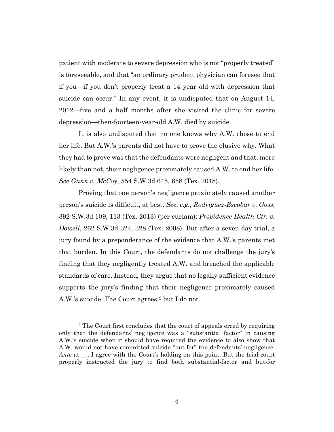patient with moderate to severe depression who is not "properly treated" is foreseeable, and that "an ordinary prudent physician can foresee that if you—if you don't properly treat a 14 year old with depression that suicide can occur." In any event, it is undisputed that on August 14, 2012—five and a half months after she visited the clinic for severe depression—then-fourteen-year-old A.W. died by suicide.

It is also undisputed that no one knows why A.W. chose to end her life. But A.W.'s parents did not have to prove the elusive why. What they had to prove was that the defendants were negligent and that, more likely than not, their negligence proximately caused A.W. to end her life. *See Gunn v. McCoy*, 554 S.W.3d 645, 658 (Tex. 2018).

Proving that one person's negligence proximately caused another person's suicide is difficult, at best. *See*, *e.g.*, *Rodriguez-Escobar v. Goss*, 392 S.W.3d 109, 113 (Tex. 2013) (per curiam); *Providence Health Ctr. v. Dowell*, 262 S.W.3d 324, 328 (Tex. 2008). But after a seven-day trial, a jury found by a preponderance of the evidence that A.W.'s parents met that burden. In this Court, the defendants do not challenge the jury's finding that they negligently treated A.W. and breached the applicable standards of care. Instead, they argue that no legally sufficient evidence supports the jury's finding that their negligence proximately caused A.W.'s suicide. The Court agrees,<sup>2</sup> but I do not.

<sup>2</sup> The Court first concludes that the court of appeals erred by requiring only that the defendants' negligence was a "substantial factor" in causing A.W.'s suicide when it should have required the evidence to also show that A.W. would not have committed suicide "but for" the defendants' negligence. *Ante* at \_\_. I agree with the Court's holding on this point. But the trial court properly instructed the jury to find both substantial-factor and but-for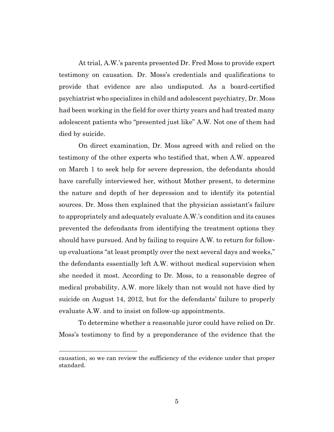At trial, A.W.'s parents presented Dr. Fred Moss to provide expert testimony on causation. Dr. Moss's credentials and qualifications to provide that evidence are also undisputed. As a board-certified psychiatrist who specializes in child and adolescent psychiatry, Dr. Moss had been working in the field for over thirty years and had treated many adolescent patients who "presented just like" A.W. Not one of them had died by suicide.

On direct examination, Dr. Moss agreed with and relied on the testimony of the other experts who testified that, when A.W. appeared on March 1 to seek help for severe depression, the defendants should have carefully interviewed her, without Mother present, to determine the nature and depth of her depression and to identify its potential sources. Dr. Moss then explained that the physician assistant's failure to appropriately and adequately evaluate A.W.'s condition and its causes prevented the defendants from identifying the treatment options they should have pursued. And by failing to require A.W. to return for followup evaluations "at least promptly over the next several days and weeks," the defendants essentially left A.W. without medical supervision when she needed it most. According to Dr. Moss, to a reasonable degree of medical probability, A.W. more likely than not would not have died by suicide on August 14, 2012, but for the defendants' failure to properly evaluate A.W. and to insist on follow-up appointments.

To determine whether a reasonable juror could have relied on Dr. Moss's testimony to find by a preponderance of the evidence that the

causation, so we can review the sufficiency of the evidence under that proper standard.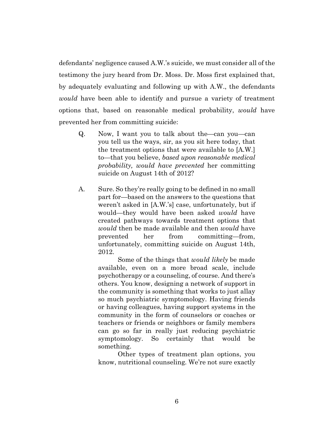defendants' negligence caused A.W.'s suicide, we must consider all of the testimony the jury heard from Dr. Moss. Dr. Moss first explained that, by adequately evaluating and following up with A.W., the defendants *would* have been able to identify and pursue a variety of treatment options that, based on reasonable medical probability, *would* have prevented her from committing suicide:

- Q. Now, I want you to talk about the—can you—can you tell us the ways, sir, as you sit here today, that the treatment options that were available to [A.W.] to—that you believe, *based upon reasonable medical probability, would have prevented* her committing suicide on August 14th of 2012?
- A. Sure. So they're really going to be defined in no small part for—based on the answers to the questions that weren't asked in [A.W.'s] case, unfortunately, but if would—they would have been asked *would* have created pathways towards treatment options that *would* then be made available and then *would* have prevented her from committing—from, unfortunately, committing suicide on August 14th, 2012.

Some of the things that *would likely* be made available, even on a more broad scale, include psychotherapy or a counseling, of course. And there's others. You know, designing a network of support in the community is something that works to just allay so much psychiatric symptomology. Having friends or having colleagues, having support systems in the community in the form of counselors or coaches or teachers or friends or neighbors or family members can go so far in really just reducing psychiatric symptomology. So certainly that would be something.

Other types of treatment plan options, you know, nutritional counseling. We're not sure exactly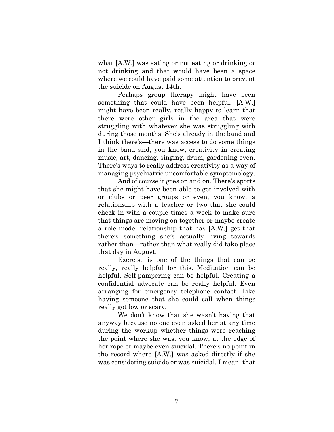what [A.W.] was eating or not eating or drinking or not drinking and that would have been a space where we could have paid some attention to prevent the suicide on August 14th.

Perhaps group therapy might have been something that could have been helpful. [A.W.] might have been really, really happy to learn that there were other girls in the area that were struggling with whatever she was struggling with during those months. She's already in the band and I think there's—there was access to do some things in the band and, you know, creativity in creating music, art, dancing, singing, drum, gardening even. There's ways to really address creativity as a way of managing psychiatric uncomfortable symptomology.

And of course it goes on and on. There's sports that she might have been able to get involved with or clubs or peer groups or even, you know, a relationship with a teacher or two that she could check in with a couple times a week to make sure that things are moving on together or maybe create a role model relationship that has [A.W.] get that there's something she's actually living towards rather than—rather than what really did take place that day in August.

Exercise is one of the things that can be really, really helpful for this. Meditation can be helpful. Self-pampering can be helpful. Creating a confidential advocate can be really helpful. Even arranging for emergency telephone contact. Like having someone that she could call when things really got low or scary.

We don't know that she wasn't having that anyway because no one even asked her at any time during the workup whether things were reaching the point where she was, you know, at the edge of her rope or maybe even suicidal. There's no point in the record where [A.W.] was asked directly if she was considering suicide or was suicidal. I mean, that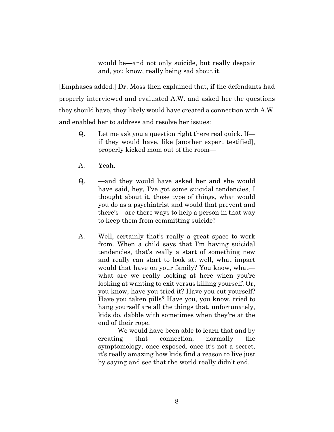would be—and not only suicide, but really despair and, you know, really being sad about it.

[Emphases added.] Dr. Moss then explained that, if the defendants had properly interviewed and evaluated A.W. and asked her the questions they should have, they likely would have created a connection with A.W. and enabled her to address and resolve her issues:

- Q. Let me ask you a question right there real quick. If if they would have, like [another expert testified], properly kicked mom out of the room—
- A. Yeah.
- Q. —and they would have asked her and she would have said, hey, I've got some suicidal tendencies, I thought about it, those type of things, what would you do as a psychiatrist and would that prevent and there's—are there ways to help a person in that way to keep them from committing suicide?
- A. Well, certainly that's really a great space to work from. When a child says that I'm having suicidal tendencies, that's really a start of something new and really can start to look at, well, what impact would that have on your family? You know, what what are we really looking at here when you're looking at wanting to exit versus killing yourself. Or, you know, have you tried it? Have you cut yourself? Have you taken pills? Have you, you know, tried to hang yourself are all the things that, unfortunately, kids do, dabble with sometimes when they're at the end of their rope.

We would have been able to learn that and by creating that connection, normally the symptomology, once exposed, once it's not a secret, it's really amazing how kids find a reason to live just by saying and see that the world really didn't end.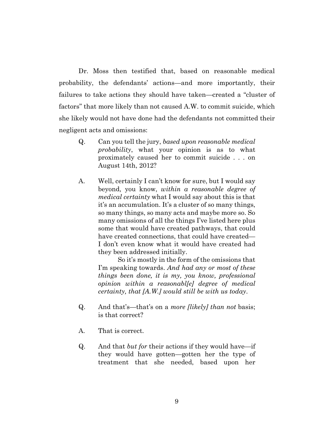Dr. Moss then testified that, based on reasonable medical probability, the defendants' actions—and more importantly, their failures to take actions they should have taken—created a "cluster of factors" that more likely than not caused A.W. to commit suicide, which she likely would not have done had the defendants not committed their negligent acts and omissions:

- Q. Can you tell the jury, *based upon reasonable medical probability*, what your opinion is as to what proximately caused her to commit suicide . . . on August 14th, 2012?
- A. Well, certainly I can't know for sure, but I would say beyond, you know, *within a reasonable degree of medical certainty* what I would say about this is that it's an accumulation. It's a cluster of so many things, so many things, so many acts and maybe more so. So many omissions of all the things I've listed here plus some that would have created pathways, that could have created connections, that could have created— I don't even know what it would have created had they been addressed initially.

So it's mostly in the form of the omissions that I'm speaking towards. *And had any or most of these things been done, it is my, you know, professional opinion within a reasonabl[e] degree of medical certainty, that [A.W.] would still be with us today*.

- Q. And that's—that's on a *more [likely] than not* basis; is that correct?
- A. That is correct.
- Q. And that *but for* their actions if they would have—if they would have gotten—gotten her the type of treatment that she needed, based upon her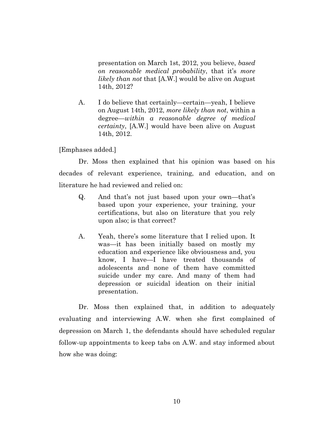presentation on March 1st, 2012, you believe, *based on reasonable medical probability*, that it's *more likely than not* that [A.W.] would be alive on August 14th, 2012?

A. I do believe that certainly—certain—yeah, I believe on August 14th, 2012, *more likely than not*, within a degree—*within a reasonable degree of medical certainty*, [A.W.] would have been alive on August 14th, 2012.

[Emphases added.]

Dr. Moss then explained that his opinion was based on his decades of relevant experience, training, and education, and on literature he had reviewed and relied on:

- Q. And that's not just based upon your own—that's based upon your experience, your training, your certifications, but also on literature that you rely upon also; is that correct?
- A. Yeah, there's some literature that I relied upon. It was—it has been initially based on mostly my education and experience like obviousness and, you know, I have—I have treated thousands of adolescents and none of them have committed suicide under my care. And many of them had depression or suicidal ideation on their initial presentation.

Dr. Moss then explained that, in addition to adequately evaluating and interviewing A.W. when she first complained of depression on March 1, the defendants should have scheduled regular follow-up appointments to keep tabs on A.W. and stay informed about how she was doing: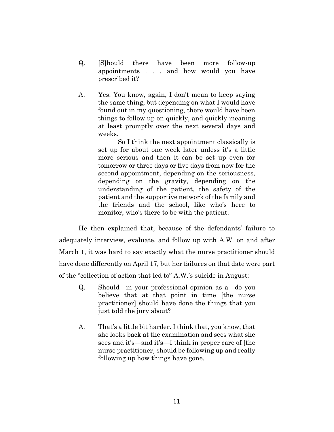- Q. [S]hould there have been more follow-up appointments . . . and how would you have prescribed it?
- A. Yes. You know, again, I don't mean to keep saying the same thing, but depending on what I would have found out in my questioning, there would have been things to follow up on quickly, and quickly meaning at least promptly over the next several days and weeks.

So I think the next appointment classically is set up for about one week later unless it's a little more serious and then it can be set up even for tomorrow or three days or five days from now for the second appointment, depending on the seriousness, depending on the gravity, depending on the understanding of the patient, the safety of the patient and the supportive network of the family and the friends and the school, like who's here to monitor, who's there to be with the patient.

He then explained that, because of the defendants' failure to adequately interview, evaluate, and follow up with A.W. on and after March 1, it was hard to say exactly what the nurse practitioner should have done differently on April 17, but her failures on that date were part of the "collection of action that led to" A.W.'s suicide in August:

- Q. Should—in your professional opinion as a—do you believe that at that point in time [the nurse practitioner] should have done the things that you just told the jury about?
- A. That's a little bit harder. I think that, you know, that she looks back at the examination and sees what she sees and it's—and it's—I think in proper care of [the nurse practitioner] should be following up and really following up how things have gone.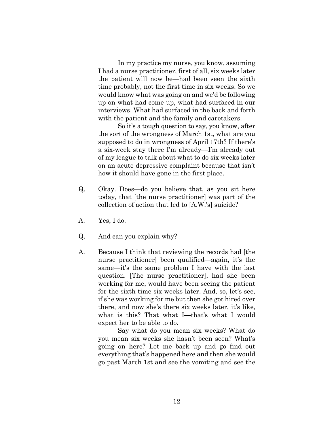In my practice my nurse, you know, assuming I had a nurse practitioner, first of all, six weeks later the patient will now be—had been seen the sixth time probably, not the first time in six weeks. So we would know what was going on and we'd be following up on what had come up, what had surfaced in our interviews. What had surfaced in the back and forth with the patient and the family and caretakers.

So it's a tough question to say, you know, after the sort of the wrongness of March 1st, what are you supposed to do in wrongness of April 17th? If there's a six-week stay there I'm already—I'm already out of my league to talk about what to do six weeks later on an acute depressive complaint because that isn't how it should have gone in the first place.

- Q. Okay. Does—do you believe that, as you sit here today, that [the nurse practitioner] was part of the collection of action that led to [A.W.'s] suicide?
- A. Yes, I do.
- Q. And can you explain why?
- A. Because I think that reviewing the records had [the nurse practitioner] been qualified—again, it's the same—it's the same problem I have with the last question. [The nurse practitioner], had she been working for me, would have been seeing the patient for the sixth time six weeks later. And, so, let's see, if she was working for me but then she got hired over there, and now she's there six weeks later, it's like, what is this? That what I—that's what I would expect her to be able to do.

Say what do you mean six weeks? What do you mean six weeks she hasn't been seen? What's going on here? Let me back up and go find out everything that's happened here and then she would go past March 1st and see the vomiting and see the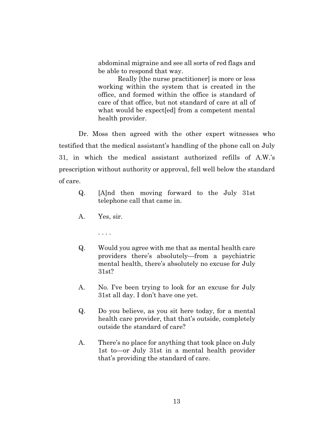abdominal migraine and see all sorts of red flags and be able to respond that way.

Really [the nurse practitioner] is more or less working within the system that is created in the office, and formed within the office is standard of care of that office, but not standard of care at all of what would be expect[ed] from a competent mental health provider.

Dr. Moss then agreed with the other expert witnesses who testified that the medical assistant's handling of the phone call on July 31, in which the medical assistant authorized refills of A.W.'s prescription without authority or approval, fell well below the standard of care.

- Q. [A]nd then moving forward to the July 31st telephone call that came in.
- A. Yes, sir.
	- . . . .
- Q. Would you agree with me that as mental health care providers there's absolutely—from a psychiatric mental health, there's absolutely no excuse for July 31st?
- A. No. I've been trying to look for an excuse for July 31st all day. I don't have one yet.
- Q. Do you believe, as you sit here today, for a mental health care provider, that that's outside, completely outside the standard of care?
- A. There's no place for anything that took place on July 1st to—or July 31st in a mental health provider that's providing the standard of care.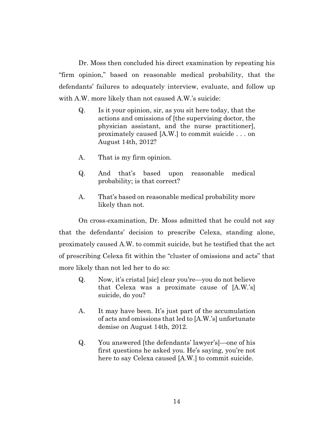Dr. Moss then concluded his direct examination by repeating his "firm opinion," based on reasonable medical probability, that the defendants' failures to adequately interview, evaluate, and follow up with A.W. more likely than not caused A.W.'s suicide:

- Q. Is it your opinion, sir, as you sit here today, that the actions and omissions of [the supervising doctor, the physician assistant, and the nurse practitioner], proximately caused [A.W.] to commit suicide . . . on August 14th, 2012?
- A. That is my firm opinion.
- Q. And that's based upon reasonable medical probability; is that correct?
- A. That's based on reasonable medical probability more likely than not.

On cross-examination, Dr. Moss admitted that he could not say that the defendants' decision to prescribe Celexa, standing alone, proximately caused A.W. to commit suicide, but he testified that the act of prescribing Celexa fit within the "cluster of omissions and acts" that more likely than not led her to do so:

- Q. Now, it's cristal [sic] clear you're—you do not believe that Celexa was a proximate cause of [A.W.'s] suicide, do you?
- A. It may have been. It's just part of the accumulation of acts and omissions that led to [A.W.'s] unfortunate demise on August 14th, 2012.
- Q. You answered [the defendants' lawyer's]—one of his first questions he asked you. He's saying, you're not here to say Celexa caused [A.W.] to commit suicide.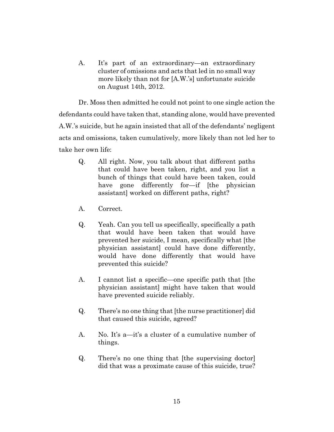A. It's part of an extraordinary—an extraordinary cluster of omissions and acts that led in no small way more likely than not for [A.W.'s] unfortunate suicide on August 14th, 2012.

Dr. Moss then admitted he could not point to one single action the defendants could have taken that, standing alone, would have prevented A.W.'s suicide, but he again insisted that all of the defendants' negligent acts and omissions, taken cumulatively, more likely than not led her to take her own life:

- Q. All right. Now, you talk about that different paths that could have been taken, right, and you list a bunch of things that could have been taken, could have gone differently for—if [the physician assistant] worked on different paths, right?
- A. Correct.
- Q. Yeah. Can you tell us specifically, specifically a path that would have been taken that would have prevented her suicide, I mean, specifically what [the physician assistant] could have done differently, would have done differently that would have prevented this suicide?
- A. I cannot list a specific—one specific path that [the physician assistant] might have taken that would have prevented suicide reliably.
- Q. There's no one thing that [the nurse practitioner] did that caused this suicide, agreed?
- A. No. It's a—it's a cluster of a cumulative number of things.
- Q. There's no one thing that [the supervising doctor] did that was a proximate cause of this suicide, true?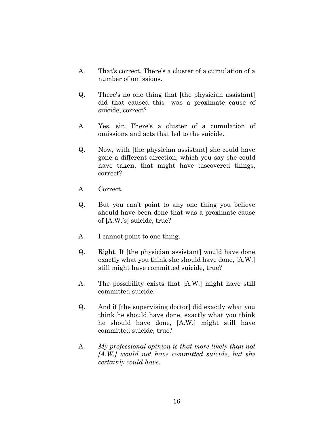- A. That's correct. There's a cluster of a cumulation of a number of omissions.
- Q. There's no one thing that [the physician assistant] did that caused this—was a proximate cause of suicide, correct?
- A. Yes, sir. There's a cluster of a cumulation of omissions and acts that led to the suicide.
- Q. Now, with [the physician assistant] she could have gone a different direction, which you say she could have taken, that might have discovered things, correct?
- A. Correct.
- Q. But you can't point to any one thing you believe should have been done that was a proximate cause of [A.W.'s] suicide, true?
- A. I cannot point to one thing.
- Q. Right. If [the physician assistant] would have done exactly what you think she should have done, [A.W.] still might have committed suicide, true?
- A. The possibility exists that [A.W.] might have still committed suicide.
- Q. And if [the supervising doctor] did exactly what you think he should have done, exactly what you think he should have done, [A.W.] might still have committed suicide, true?
- A. *My professional opinion is that more likely than not [A.W.] would not have committed suicide, but she certainly could have.*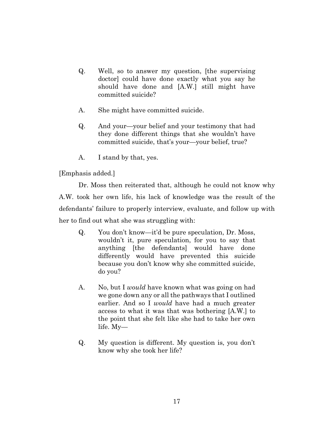- Q. Well, so to answer my question, [the supervising doctor] could have done exactly what you say he should have done and [A.W.] still might have committed suicide?
- A. She might have committed suicide.
- Q. And your—your belief and your testimony that had they done different things that she wouldn't have committed suicide, that's your—your belief, true?
- A. I stand by that, yes.

[Emphasis added.]

Dr. Moss then reiterated that, although he could not know why A.W. took her own life, his lack of knowledge was the result of the defendants' failure to properly interview, evaluate, and follow up with her to find out what she was struggling with:

- Q. You don't know—it'd be pure speculation, Dr. Moss, wouldn't it, pure speculation, for you to say that anything [the defendants] would have done differently would have prevented this suicide because you don't know why she committed suicide, do you?
- A. No, but I *would* have known what was going on had we gone down any or all the pathways that I outlined earlier. And so I *would* have had a much greater access to what it was that was bothering [A.W.] to the point that she felt like she had to take her own life. My—
- Q. My question is different. My question is, you don't know why she took her life?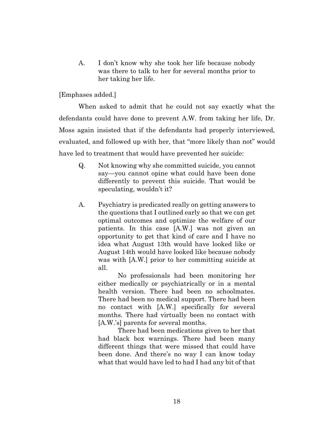A. I don't know why she took her life because nobody was there to talk to her for several months prior to her taking her life.

[Emphases added.]

When asked to admit that he could not say exactly what the defendants could have done to prevent A.W. from taking her life, Dr. Moss again insisted that if the defendants had properly interviewed, evaluated, and followed up with her, that "more likely than not" would have led to treatment that would have prevented her suicide:

- Q. Not knowing why she committed suicide, you cannot say—you cannot opine what could have been done differently to prevent this suicide. That would be speculating, wouldn't it?
- A. Psychiatry is predicated really on getting answers to the questions that I outlined early so that we can get optimal outcomes and optimize the welfare of our patients. In this case [A.W.] was not given an opportunity to get that kind of care and I have no idea what August 13th would have looked like or August 14th would have looked like because nobody was with [A.W.] prior to her committing suicide at all.

No professionals had been monitoring her either medically or psychiatrically or in a mental health version. There had been no schoolmates. There had been no medical support. There had been no contact with [A.W.] specifically for several months. There had virtually been no contact with [A.W.'s] parents for several months.

There had been medications given to her that had black box warnings. There had been many different things that were missed that could have been done. And there's no way I can know today what that would have led to had I had any bit of that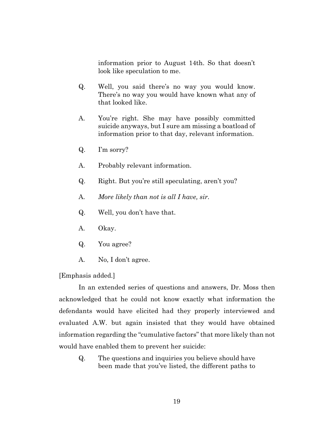information prior to August 14th. So that doesn't look like speculation to me.

- Q. Well, you said there's no way you would know. There's no way you would have known what any of that looked like.
- A. You're right. She may have possibly committed suicide anyways, but I sure am missing a boatload of information prior to that day, relevant information.
- Q. I'm sorry?
- A. Probably relevant information.
- Q. Right. But you're still speculating, aren't you?
- A. *More likely than not is all I have, sir.*
- Q. Well, you don't have that.
- A. Okay.
- Q. You agree?
- A. No, I don't agree.

[Emphasis added.]

In an extended series of questions and answers, Dr. Moss then acknowledged that he could not know exactly what information the defendants would have elicited had they properly interviewed and evaluated A.W. but again insisted that they would have obtained information regarding the "cumulative factors" that more likely than not would have enabled them to prevent her suicide:

Q. The questions and inquiries you believe should have been made that you've listed, the different paths to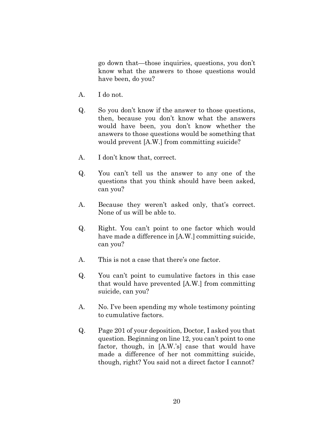go down that—those inquiries, questions, you don't know what the answers to those questions would have been, do you?

- A. I do not.
- Q. So you don't know if the answer to those questions, then, because you don't know what the answers would have been, you don't know whether the answers to those questions would be something that would prevent [A.W.] from committing suicide?
- A. I don't know that, correct.
- Q. You can't tell us the answer to any one of the questions that you think should have been asked, can you?
- A. Because they weren't asked only, that's correct. None of us will be able to.
- Q. Right. You can't point to one factor which would have made a difference in [A.W.] committing suicide, can you?
- A. This is not a case that there's one factor.
- Q. You can't point to cumulative factors in this case that would have prevented [A.W.] from committing suicide, can you?
- A. No. I've been spending my whole testimony pointing to cumulative factors.
- Q. Page 201 of your deposition, Doctor, I asked you that question. Beginning on line 12, you can't point to one factor, though, in [A.W.'s] case that would have made a difference of her not committing suicide, though, right? You said not a direct factor I cannot?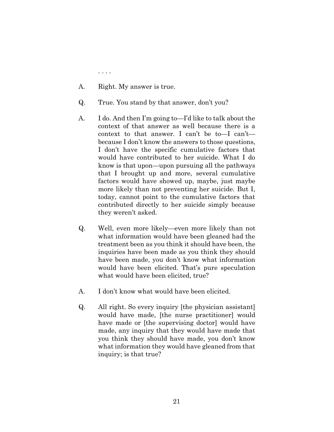. . . .

- A. Right. My answer is true.
- Q. True. You stand by that answer, don't you?
- A. I do. And then I'm going to—I'd like to talk about the context of that answer as well because there is a context to that answer. I can't be to—I can't because I don't know the answers to those questions, I don't have the specific cumulative factors that would have contributed to her suicide. What I do know is that upon—upon pursuing all the pathways that I brought up and more, several cumulative factors would have showed up, maybe, just maybe more likely than not preventing her suicide. But I, today, cannot point to the cumulative factors that contributed directly to her suicide simply because they weren't asked.
- Q. Well, even more likely—even more likely than not what information would have been gleaned had the treatment been as you think it should have been, the inquiries have been made as you think they should have been made, you don't know what information would have been elicited. That's pure speculation what would have been elicited, true?
- A. I don't know what would have been elicited.
- Q. All right. So every inquiry [the physician assistant] would have made, [the nurse practitioner] would have made or [the supervising doctor] would have made, any inquiry that they would have made that you think they should have made, you don't know what information they would have gleaned from that inquiry; is that true?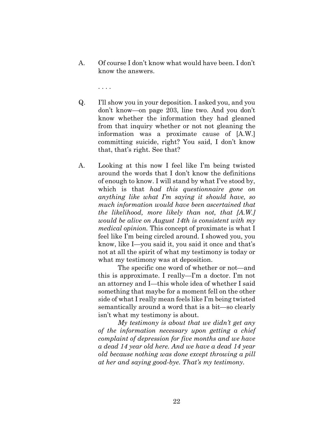A. Of course I don't know what would have been. I don't know the answers.

. . . .

- Q. I'll show you in your deposition. I asked you, and you don't know—on page 203, line two. And you don't know whether the information they had gleaned from that inquiry whether or not not gleaning the information was a proximate cause of [A.W.] committing suicide, right? You said, I don't know that, that's right. See that?
- A. Looking at this now I feel like I'm being twisted around the words that I don't know the definitions of enough to know. I will stand by what I've stood by, which is that *had this questionnaire gone on anything like what I'm saying it should have, so much information would have been ascertained that the likelihood, more likely than not, that [A.W.] would be alive on August 14th is consistent with my medical opinion.* This concept of proximate is what I feel like I'm being circled around. I showed you, you know, like I—you said it, you said it once and that's not at all the spirit of what my testimony is today or what my testimony was at deposition.

The specific one word of whether or not—and this is approximate. I really—I'm a doctor. I'm not an attorney and I—this whole idea of whether I said something that maybe for a moment fell on the other side of what I really mean feels like I'm being twisted semantically around a word that is a bit—so clearly isn't what my testimony is about.

*My testimony is about that we didn't get any of the information necessary upon getting a chief complaint of depression for five months and we have a dead 14 year old here. And we have a dead 14 year old because nothing was done except throwing a pill at her and saying good-bye. That's my testimony.*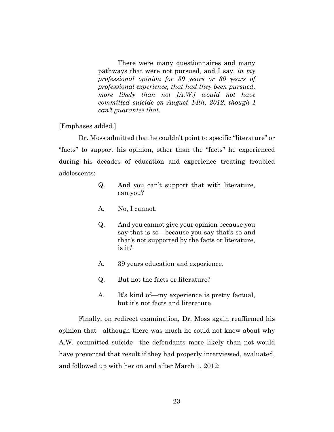There were many questionnaires and many pathways that were not pursued, and I say, *in my professional opinion for 39 years or 30 years of professional experience, that had they been pursued, more likely than not [A.W.] would not have committed suicide on August 14th, 2012, though I can't guarantee that.*

[Emphases added.]

Dr. Moss admitted that he couldn't point to specific "literature" or "facts" to support his opinion, other than the "facts" he experienced during his decades of education and experience treating troubled adolescents:

- Q. And you can't support that with literature, can you?
- A. No, I cannot.
- Q. And you cannot give your opinion because you say that is so—because you say that's so and that's not supported by the facts or literature, is it?
- A. 39 years education and experience.
- Q. But not the facts or literature?
- A. It's kind of—my experience is pretty factual, but it's not facts and literature.

Finally, on redirect examination, Dr. Moss again reaffirmed his opinion that—although there was much he could not know about why A.W. committed suicide—the defendants more likely than not would have prevented that result if they had properly interviewed, evaluated, and followed up with her on and after March 1, 2012: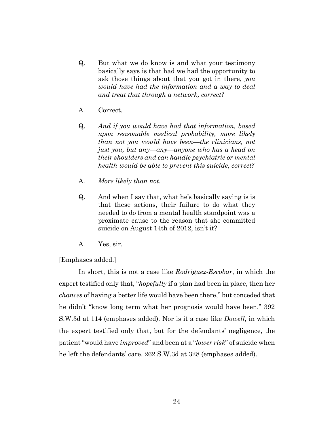- Q. But what we do know is and what your testimony basically says is that had we had the opportunity to ask those things about that you got in there, *you would have had the information and a way to deal and treat that through a network, correct?*
- A. Correct.
- Q. *And if you would have had that information, based upon reasonable medical probability, more likely than not you would have been—the clinicians, not just you, but any—any—anyone who has a head on their shoulders and can handle psychiatric or mental health would be able to prevent this suicide, correct?*
- A. *More likely than not*.
- Q. And when I say that, what he's basically saying is is that these actions, their failure to do what they needed to do from a mental health standpoint was a proximate cause to the reason that she committed suicide on August 14th of 2012, isn't it?
- A. Yes, sir.

[Emphases added.]

In short, this is not a case like *Rodriguez-Escobar*, in which the expert testified only that, "*hopefully* if a plan had been in place, then her *chances* of having a better life would have been there," but conceded that he didn't "know long term what her prognosis would have been." 392 S.W.3d at 114 (emphases added). Nor is it a case like *Dowell*, in which the expert testified only that, but for the defendants' negligence, the patient "would have *improved*" and been at a "*lower risk*" of suicide when he left the defendants' care. 262 S.W.3d at 328 (emphases added).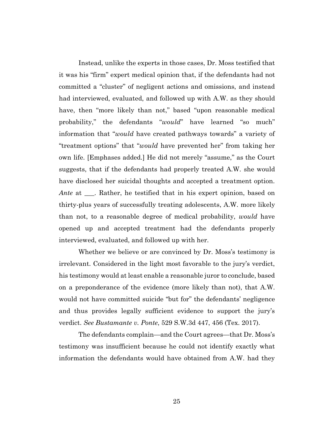Instead, unlike the experts in those cases, Dr. Moss testified that it was his "firm" expert medical opinion that, if the defendants had not committed a "cluster" of negligent actions and omissions, and instead had interviewed, evaluated, and followed up with A.W. as they should have, then "more likely than not," based "upon reasonable medical probability," the defendants "*would*" have learned "so much" information that "*would* have created pathways towards" a variety of "treatment options" that "*would* have prevented her" from taking her own life. [Emphases added.] He did not merely "assume," as the Court suggests, that if the defendants had properly treated A.W. she would have disclosed her suicidal thoughts and accepted a treatment option. *Ante* at \_\_\_. Rather, he testified that in his expert opinion, based on thirty-plus years of successfully treating adolescents, A.W. more likely than not, to a reasonable degree of medical probability, *would* have opened up and accepted treatment had the defendants properly interviewed, evaluated, and followed up with her.

Whether we believe or are convinced by Dr. Moss's testimony is irrelevant. Considered in the light most favorable to the jury's verdict, his testimony would at least enable a reasonable juror to conclude, based on a preponderance of the evidence (more likely than not), that A.W. would not have committed suicide "but for" the defendants' negligence and thus provides legally sufficient evidence to support the jury's verdict. *See Bustamante v. Ponte*, 529 S.W.3d 447, 456 (Tex. 2017).

The defendants complain—and the Court agrees—that Dr. Moss's testimony was insufficient because he could not identify exactly what information the defendants would have obtained from A.W. had they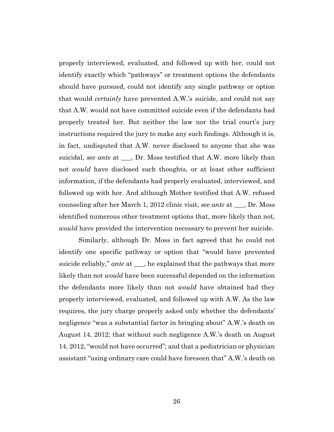properly interviewed, evaluated, and followed up with her, could not identify exactly which "pathways" or treatment options the defendants should have pursued, could not identify any single pathway or option that would *certainly* have prevented A.W.'s suicide, and could not say that A.W. would not have committed suicide even if the defendants had properly treated her. But neither the law nor the trial court's jury instructions required the jury to make any such findings. Although it is, in fact, undisputed that A.W. never disclosed to anyone that she was suicidal, *see ante* at \_\_\_, Dr. Moss testified that A.W. more likely than not *would* have disclosed such thoughts, or at least other sufficient information, if the defendants had properly evaluated, interviewed, and followed up with her. And although Mother testified that A.W. refused counseling after her March 1, 2012 clinic visit, *see ante* at \_\_\_, Dr. Moss identified numerous other treatment options that, more likely than not, *would* have provided the intervention necessary to prevent her suicide.

Similarly, although Dr. Moss in fact agreed that he could not identify one specific pathway or option that "would have prevented suicide reliably," *ante* at \_\_\_, he explained that the pathways that more likely than not *would* have been successful depended on the information the defendants more likely than not *would* have obtained had they properly interviewed, evaluated, and followed up with A.W. As the law requires, the jury charge properly asked only whether the defendants' negligence "was a substantial factor in bringing about" A.W.'s death on August 14, 2012; that without such negligence A.W.'s death on August 14, 2012, "would not have occurred"; and that a pediatrician or physician assistant "using ordinary care could have foreseen that" A.W.'s death on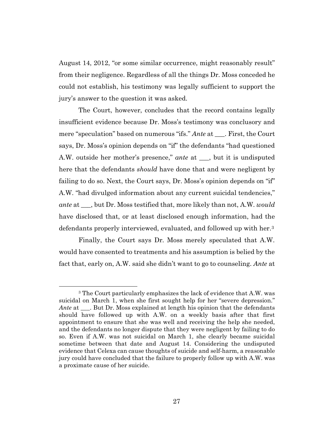August 14, 2012, "or some similar occurrence, might reasonably result" from their negligence. Regardless of all the things Dr. Moss conceded he could not establish, his testimony was legally sufficient to support the jury's answer to the question it was asked.

The Court, however, concludes that the record contains legally insufficient evidence because Dr. Moss's testimony was conclusory and mere "speculation" based on numerous "ifs." *Ante* at \_\_\_. First, the Court says, Dr. Moss's opinion depends on "if" the defendants "had questioned A.W. outside her mother's presence," *ante* at \_\_\_, but it is undisputed here that the defendants *should* have done that and were negligent by failing to do so. Next, the Court says, Dr. Moss's opinion depends on "if" A.W. "had divulged information about any current suicidal tendencies," *ante* at \_\_\_, but Dr. Moss testified that, more likely than not, A.W. *would* have disclosed that, or at least disclosed enough information, had the defendants properly interviewed, evaluated, and followed up with her.<sup>3</sup>

Finally, the Court says Dr. Moss merely speculated that A.W. would have consented to treatments and his assumption is belied by the fact that, early on, A.W. said she didn't want to go to counseling. *Ante* at

<sup>3</sup> The Court particularly emphasizes the lack of evidence that A.W. was suicidal on March 1, when she first sought help for her "severe depression." *Ante* at \_\_\_. But Dr. Moss explained at length his opinion that the defendants should have followed up with A.W. on a weekly basis after that first appointment to ensure that she was well and receiving the help she needed, and the defendants no longer dispute that they were negligent by failing to do so. Even if A.W. was not suicidal on March 1, she clearly became suicidal sometime between that date and August 14. Considering the undisputed evidence that Celexa can cause thoughts of suicide and self-harm, a reasonable jury could have concluded that the failure to properly follow up with A.W. was a proximate cause of her suicide.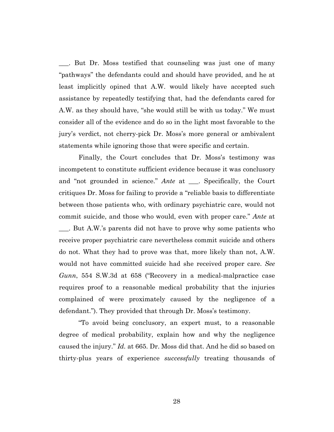\_\_\_. But Dr. Moss testified that counseling was just one of many "pathways" the defendants could and should have provided, and he at least implicitly opined that A.W. would likely have accepted such assistance by repeatedly testifying that, had the defendants cared for A.W. as they should have, "she would still be with us today." We must consider all of the evidence and do so in the light most favorable to the jury's verdict, not cherry-pick Dr. Moss's more general or ambivalent statements while ignoring those that were specific and certain.

Finally, the Court concludes that Dr. Moss's testimony was incompetent to constitute sufficient evidence because it was conclusory and "not grounded in science." *Ante* at \_\_\_. Specifically, the Court critiques Dr. Moss for failing to provide a "reliable basis to differentiate between those patients who, with ordinary psychiatric care, would not commit suicide, and those who would, even with proper care." *Ante* at \_\_\_. But A.W.'s parents did not have to prove why some patients who receive proper psychiatric care nevertheless commit suicide and others do not. What they had to prove was that, more likely than not, A.W. would not have committed suicide had she received proper care. *See Gunn*, 554 S.W.3d at 658 ("Recovery in a medical-malpractice case requires proof to a reasonable medical probability that the injuries complained of were proximately caused by the negligence of a defendant."). They provided that through Dr. Moss's testimony.

"To avoid being conclusory, an expert must, to a reasonable degree of medical probability, explain how and why the negligence caused the injury." *Id.* at 665. Dr. Moss did that. And he did so based on thirty-plus years of experience *successfully* treating thousands of

28